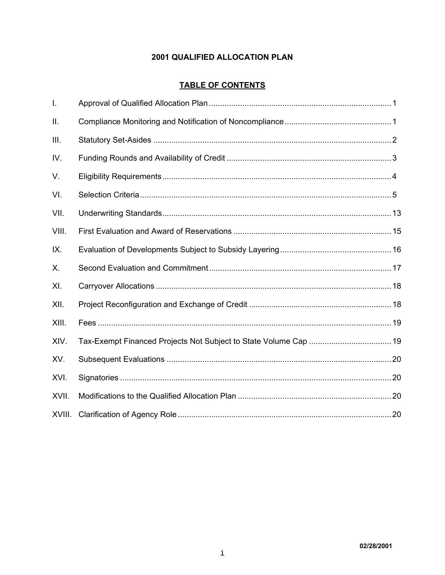# **2001 QUALIFIED ALLOCATION PLAN**

# **TABLE OF CONTENTS**

| I.     |  |
|--------|--|
| Ш.     |  |
| III.   |  |
| IV.    |  |
| V.     |  |
| VI.    |  |
| VII.   |  |
| VIII.  |  |
| IX.    |  |
| Х.     |  |
| XI.    |  |
| XII.   |  |
| XIII.  |  |
| XIV.   |  |
| XV.    |  |
| XVI.   |  |
| XVII.  |  |
| XVIII. |  |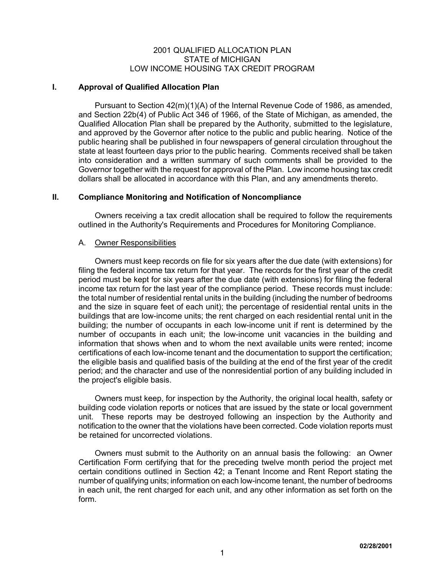#### 2001 QUALIFIED ALLOCATION PLAN STATE of MICHIGAN LOW INCOME HOUSING TAX CREDIT PROGRAM

# **I. Approval of Qualified Allocation Plan**

Pursuant to Section 42(m)(1)(A) of the Internal Revenue Code of 1986, as amended, and Section 22b(4) of Public Act 346 of 1966, of the State of Michigan, as amended, the Qualified Allocation Plan shall be prepared by the Authority, submitted to the legislature, and approved by the Governor after notice to the public and public hearing. Notice of the public hearing shall be published in four newspapers of general circulation throughout the state at least fourteen days prior to the public hearing. Comments received shall be taken into consideration and a written summary of such comments shall be provided to the Governor together with the request for approval of the Plan. Low income housing tax credit dollars shall be allocated in accordance with this Plan, and any amendments thereto.

# **II. Compliance Monitoring and Notification of Noncompliance**

Owners receiving a tax credit allocation shall be required to follow the requirements outlined in the Authority's Requirements and Procedures for Monitoring Compliance.

# A. Owner Responsibilities

Owners must keep records on file for six years after the due date (with extensions) for filing the federal income tax return for that year. The records for the first year of the credit period must be kept for six years after the due date (with extensions) for filing the federal income tax return for the last year of the compliance period. These records must include: the total number of residential rental units in the building (including the number of bedrooms and the size in square feet of each unit); the percentage of residential rental units in the buildings that are low-income units; the rent charged on each residential rental unit in the building; the number of occupants in each low-income unit if rent is determined by the number of occupants in each unit; the low-income unit vacancies in the building and information that shows when and to whom the next available units were rented; income certifications of each low-income tenant and the documentation to support the certification; the eligible basis and qualified basis of the building at the end of the first year of the credit period; and the character and use of the nonresidential portion of any building included in the project's eligible basis.

Owners must keep, for inspection by the Authority, the original local health, safety or building code violation reports or notices that are issued by the state or local government unit. These reports may be destroyed following an inspection by the Authority and notification to the owner that the violations have been corrected. Code violation reports must be retained for uncorrected violations.

Owners must submit to the Authority on an annual basis the following: an Owner Certification Form certifying that for the preceding twelve month period the project met certain conditions outlined in Section 42; a Tenant Income and Rent Report stating the number of qualifying units; information on each low-income tenant, the number of bedrooms in each unit, the rent charged for each unit, and any other information as set forth on the form.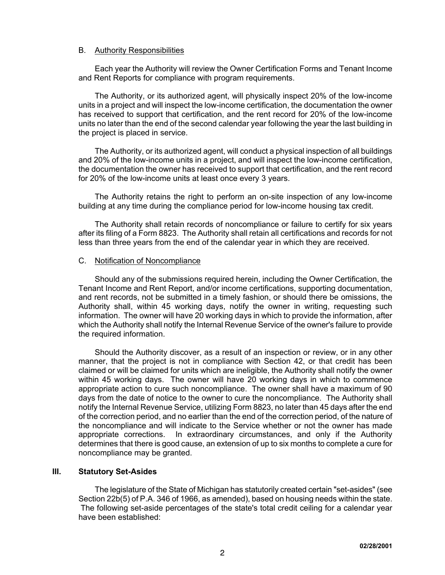# B. Authority Responsibilities

Each year the Authority will review the Owner Certification Forms and Tenant Income and Rent Reports for compliance with program requirements.

The Authority, or its authorized agent, will physically inspect 20% of the low-income units in a project and will inspect the low-income certification, the documentation the owner has received to support that certification, and the rent record for 20% of the low-income units no later than the end of the second calendar year following the year the last building in the project is placed in service.

The Authority, or its authorized agent, will conduct a physical inspection of all buildings and 20% of the low-income units in a project, and will inspect the low-income certification, the documentation the owner has received to support that certification, and the rent record for 20% of the low-income units at least once every 3 years.

The Authority retains the right to perform an on-site inspection of any low-income building at any time during the compliance period for low-income housing tax credit.

The Authority shall retain records of noncompliance or failure to certify for six years after its filing of a Form 8823. The Authority shall retain all certifications and records for not less than three years from the end of the calendar year in which they are received.

# C. Notification of Noncompliance

Should any of the submissions required herein, including the Owner Certification, the Tenant Income and Rent Report, and/or income certifications, supporting documentation, and rent records, not be submitted in a timely fashion, or should there be omissions, the Authority shall, within 45 working days, notify the owner in writing, requesting such information. The owner will have 20 working days in which to provide the information, after which the Authority shall notify the Internal Revenue Service of the owner's failure to provide the required information.

Should the Authority discover, as a result of an inspection or review, or in any other manner, that the project is not in compliance with Section 42, or that credit has been claimed or will be claimed for units which are ineligible, the Authority shall notify the owner within 45 working days. The owner will have 20 working days in which to commence appropriate action to cure such noncompliance. The owner shall have a maximum of 90 days from the date of notice to the owner to cure the noncompliance. The Authority shall notify the Internal Revenue Service, utilizing Form 8823, no later than 45 days after the end of the correction period, and no earlier than the end of the correction period, of the nature of the noncompliance and will indicate to the Service whether or not the owner has made appropriate corrections. In extraordinary circumstances, and only if the Authority determines that there is good cause, an extension of up to six months to complete a cure for noncompliance may be granted.

# **III. Statutory Set-Asides**

The legislature of the State of Michigan has statutorily created certain "set-asides" (see Section 22b(5) of P.A. 346 of 1966, as amended), based on housing needs within the state. The following set-aside percentages of the state's total credit ceiling for a calendar year have been established: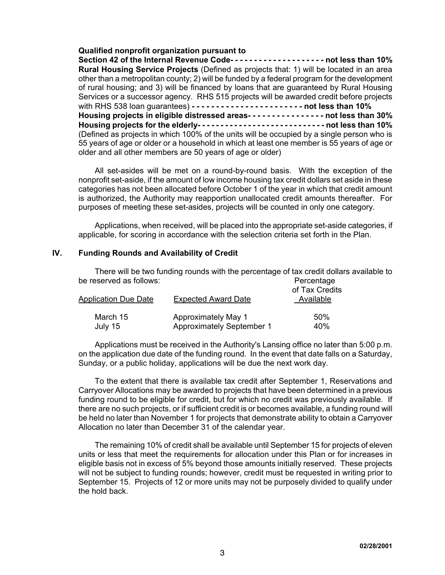# **Qualified nonprofit organization pursuant to**

**Section 42 of the Internal Revenue Code- - - - - - - - - - - - - - - - - - - - not less than 10% Rural Housing Service Projects** (Defined as projects that: 1) will be located in an area other than a metropolitan county; 2) will be funded by a federal program for the development of rural housing; and 3) will be financed by loans that are guaranteed by Rural Housing Services or a successor agency. RHS 515 projects will be awarded credit before projects with RHS 538 loan guarantees) **- - - - - - - - - - - - - - - - - - - - - - - not less than 10% Housing projects in eligible distressed areas- - - - - - - - - - - - - - - - not less than 30% Housing projects for the elderly- - - - - - - - - - - - - - - - - - - - - - - - - - - - not less than 10%** (Defined as projects in which 100% of the units will be occupied by a single person who is 55 years of age or older or a household in which at least one member is 55 years of age or older and all other members are 50 years of age or older)

All set-asides will be met on a round-by-round basis. With the exception of the nonprofit set-aside, if the amount of low income housing tax credit dollars set aside in these categories has not been allocated before October 1 of the year in which that credit amount is authorized, the Authority may reapportion unallocated credit amounts thereafter. For purposes of meeting these set-asides, projects will be counted in only one category.

Applications, when received, will be placed into the appropriate set-aside categories, if applicable, for scoring in accordance with the selection criteria set forth in the Plan.

# **IV. Funding Rounds and Availability of Credit**

There will be two funding rounds with the percentage of tax credit dollars available to be reserved as follows: example and the percentage of the Percentage of the Percentage of the Percentage of the  $P$ 

| Application Due Date | <b>Expected Award Date</b> | of Tax Credits<br>Available |  |  |
|----------------------|----------------------------|-----------------------------|--|--|
| March 15             | <b>Approximately May 1</b> | 50%                         |  |  |
| July 15              | Approximately September 1  | 40%                         |  |  |

Applications must be received in the Authority's Lansing office no later than 5:00 p.m. on the application due date of the funding round. In the event that date falls on a Saturday, Sunday, or a public holiday, applications will be due the next work day.

To the extent that there is available tax credit after September 1, Reservations and Carryover Allocations may be awarded to projects that have been determined in a previous funding round to be eligible for credit, but for which no credit was previously available. If there are no such projects, or if sufficient credit is or becomes available, a funding round will be held no later than November 1 for projects that demonstrate ability to obtain a Carryover Allocation no later than December 31 of the calendar year.

The remaining 10% of credit shall be available until September 15 for projects of eleven units or less that meet the requirements for allocation under this Plan or for increases in eligible basis not in excess of 5% beyond those amounts initially reserved. These projects will not be subject to funding rounds; however, credit must be requested in writing prior to September 15. Projects of 12 or more units may not be purposely divided to qualify under the hold back.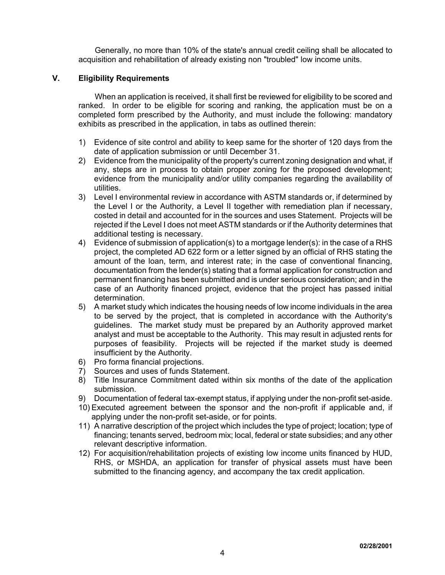Generally, no more than 10% of the state's annual credit ceiling shall be allocated to acquisition and rehabilitation of already existing non "troubled" low income units.

# **V. Eligibility Requirements**

When an application is received, it shall first be reviewed for eligibility to be scored and ranked. In order to be eligible for scoring and ranking, the application must be on a completed form prescribed by the Authority, and must include the following: mandatory exhibits as prescribed in the application, in tabs as outlined therein:

- 1) Evidence of site control and ability to keep same for the shorter of 120 days from the date of application submission or until December 31.
- 2) Evidence from the municipality of the property's current zoning designation and what, if any, steps are in process to obtain proper zoning for the proposed development; evidence from the municipality and/or utility companies regarding the availability of utilities.
- 3) Level I environmental review in accordance with ASTM standards or, if determined by the Level I or the Authority, a Level II together with remediation plan if necessary, costed in detail and accounted for in the sources and uses Statement. Projects will be rejected if the Level I does not meet ASTM standards or if the Authority determines that additional testing is necessary.
- 4) Evidence of submission of application(s) to a mortgage lender(s): in the case of a RHS project, the completed AD 622 form or a letter signed by an official of RHS stating the amount of the loan, term, and interest rate; in the case of conventional financing, documentation from the lender(s) stating that a formal application for construction and permanent financing has been submitted and is under serious consideration; and in the case of an Authority financed project, evidence that the project has passed initial determination.
- 5) A market study which indicates the housing needs of low income individuals in the area to be served by the project, that is completed in accordance with the Authority's guidelines. The market study must be prepared by an Authority approved market analyst and must be acceptable to the Authority. This may result in adjusted rents for purposes of feasibility. Projects will be rejected if the market study is deemed insufficient by the Authority.
- 6) Pro forma financial projections.
- 7) Sources and uses of funds Statement.
- 8) Title Insurance Commitment dated within six months of the date of the application submission.
- 9) Documentation of federal tax-exempt status, if applying under the non-profit set-aside.
- 10) Executed agreement between the sponsor and the non-profit if applicable and, if applying under the non-profit set-aside, or for points.
- 11) A narrative description of the project which includes the type of project; location; type of financing; tenants served, bedroom mix; local, federal or state subsidies; and any other relevant descriptive information.
- 12) For acquisition/rehabilitation projects of existing low income units financed by HUD, RHS, or MSHDA, an application for transfer of physical assets must have been submitted to the financing agency, and accompany the tax credit application.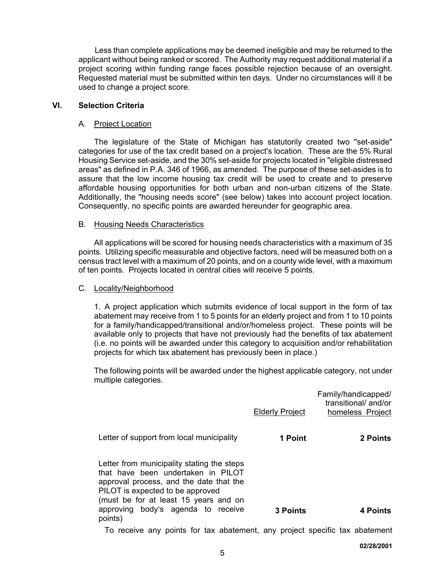Less than complete applications may be deemed ineligible and may be returned to the applicant without being ranked or scored. The Authority may request additional material if a project scoring within funding range faces possible rejection because of an oversight. Requested material must be submitted within ten days. Under no circumstances will it be used to change a project score.

# **VI. Selection Criteria**

# A. Project Location

The legislature of the State of Michigan has statutorily created two "set-aside" categories for use of the tax credit based on a project's location. These are the 5% Rural Housing Service set-aside, and the 30% set-aside for projects located in "eligible distressed areas" as defined in P.A. 346 of 1966, as amended. The purpose of these set-asides is to assure that the low income housing tax credit will be used to create and to preserve affordable housing opportunities for both urban and non-urban citizens of the State. Additionally, the "housing needs score" (see below) takes into account project location. Consequently, no specific points are awarded hereunder for geographic area.

# B. Housing Needs Characteristics

All applications will be scored for housing needs characteristics with a maximum of 35 points. Utilizing specific measurable and objective factors, need will be measured both on a census tract level with a maximum of 20 points, and on a county wide level, with a maximum of ten points. Projects located in central cities will receive 5 points.

# C. Locality/Neighborhood

1. A project application which submits evidence of local support in the form of tax abatement may receive from 1 to 5 points for an elderly project and from 1 to 10 points for a family/handicapped/transitional and/or/homeless project. These points will be available only to projects that have not previously had the benefits of tax abatement (i.e. no points will be awarded under this category to acquisition and/or rehabilitation projects for which tax abatement has previously been in place.)

The following points will be awarded under the highest applicable category, not under multiple categories.

|                                                                                                                                                                                                                                                           | <b>Elderly Project</b> | Family/handicapped/<br>transitional/and/or<br>homeless Project |
|-----------------------------------------------------------------------------------------------------------------------------------------------------------------------------------------------------------------------------------------------------------|------------------------|----------------------------------------------------------------|
| Letter of support from local municipality                                                                                                                                                                                                                 | 1 Point                | 2 Points                                                       |
| Letter from municipality stating the steps<br>that have been undertaken in PILOT<br>approval process, and the date that the<br>PILOT is expected to be approved<br>(must be for at least 15 years and on<br>approving body's agenda to receive<br>points) | <b>3 Points</b>        | 4 Points                                                       |
| To reactive any points for toy obotament, any project openific toy obotament                                                                                                                                                                              |                        |                                                                |

To receive any points for tax abatement, any project specific tax abatement

**02/28/2001**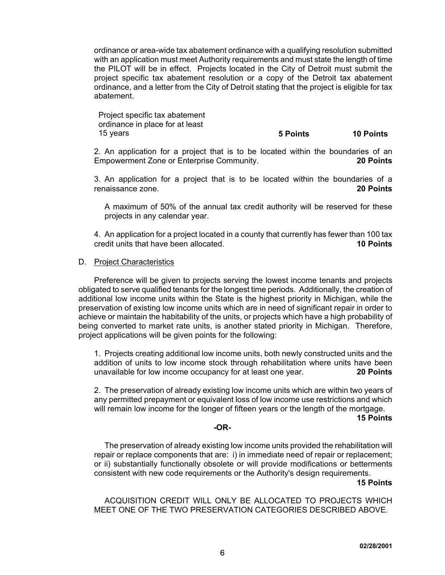ordinance or area-wide tax abatement ordinance with a qualifying resolution submitted with an application must meet Authority requirements and must state the length of time the PILOT will be in effect. Projects located in the City of Detroit must submit the project specific tax abatement resolution or a copy of the Detroit tax abatement ordinance, and a letter from the City of Detroit stating that the project is eligible for tax abatement.

Project specific tax abatement ordinance in place for at least

15 years **5 Points 10 Points**

2. An application for a project that is to be located within the boundaries of an Empowerment Zone or Enterprise Community. **20 Points**

3. An application for a project that is to be located within the boundaries of a renaissance zone. **20 Points**

A maximum of 50% of the annual tax credit authority will be reserved for these projects in any calendar year.

4. An application for a project located in a county that currently has fewer than 100 tax credit units that have been allocated. **10 Points**

#### D. Project Characteristics

Preference will be given to projects serving the lowest income tenants and projects obligated to serve qualified tenants for the longest time periods. Additionally, the creation of additional low income units within the State is the highest priority in Michigan, while the preservation of existing low income units which are in need of significant repair in order to achieve or maintain the habitability of the units, or projects which have a high probability of being converted to market rate units, is another stated priority in Michigan. Therefore, project applications will be given points for the following:

1. Projects creating additional low income units, both newly constructed units and the addition of units to low income stock through rehabilitation where units have been unavailable for low income occupancy for at least one year. **20 Points**

2. The preservation of already existing low income units which are within two years of any permitted prepayment or equivalent loss of low income use restrictions and which will remain low income for the longer of fifteen years or the length of the mortgage.

#### **15 Points**

## **-OR-**

The preservation of already existing low income units provided the rehabilitation will repair or replace components that are: i) in immediate need of repair or replacement; or ii) substantially functionally obsolete or will provide modifications or betterments consistent with new code requirements or the Authority's design requirements.

#### **15 Points**

ACQUISITION CREDIT WILL ONLY BE ALLOCATED TO PROJECTS WHICH MEET ONE OF THE TWO PRESERVATION CATEGORIES DESCRIBED ABOVE.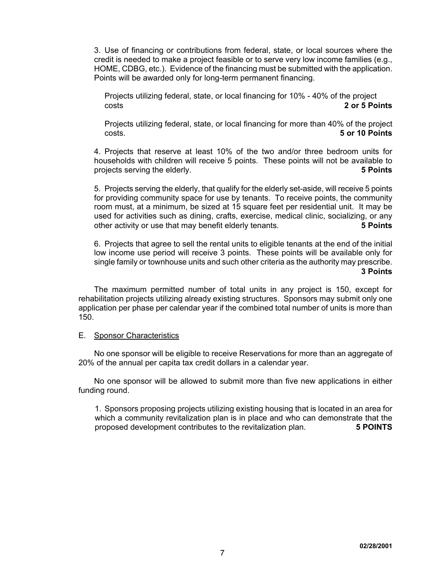3. Use of financing or contributions from federal, state, or local sources where the credit is needed to make a project feasible or to serve very low income families (e.g., HOME, CDBG, etc.). Evidence of the financing must be submitted with the application. Points will be awarded only for long-term permanent financing.

Projects utilizing federal, state, or local financing for 10% - 40% of the project costs **2 or 5 Points**

Projects utilizing federal, state, or local financing for more than 40% of the project costs. **5 or 10 Points**

4. Projects that reserve at least 10% of the two and/or three bedroom units for households with children will receive 5 points. These points will not be available to projects serving the elderly. **5 Points**

5. Projects serving the elderly, that qualify for the elderly set-aside, will receive 5 points for providing community space for use by tenants. To receive points, the community room must, at a minimum, be sized at 15 square feet per residential unit. It may be used for activities such as dining, crafts, exercise, medical clinic, socializing, or any other activity or use that may benefit elderly tenants. **5 Points**

6. Projects that agree to sell the rental units to eligible tenants at the end of the initial low income use period will receive 3 points. These points will be available only for single family or townhouse units and such other criteria as the authority may prescribe.  **3 Points** 

The maximum permitted number of total units in any project is 150, except for rehabilitation projects utilizing already existing structures. Sponsors may submit only one application per phase per calendar year if the combined total number of units is more than 150.

#### E. Sponsor Characteristics

No one sponsor will be eligible to receive Reservations for more than an aggregate of 20% of the annual per capita tax credit dollars in a calendar year.

No one sponsor will be allowed to submit more than five new applications in either funding round.

1. Sponsors proposing projects utilizing existing housing that is located in an area for which a community revitalization plan is in place and who can demonstrate that the proposed development contributes to the revitalization plan. **5 POINTS**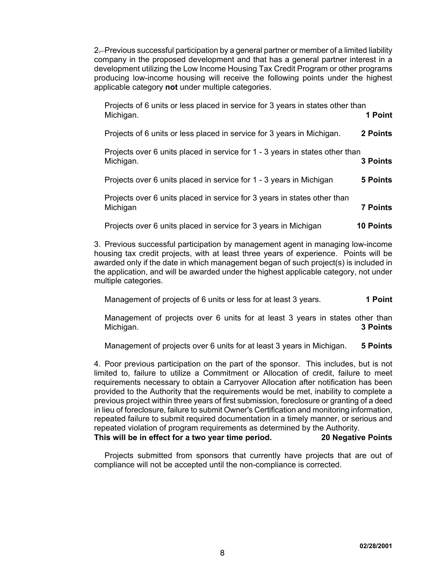2. Previous successful participation by a general partner or member of a limited liability company in the proposed development and that has a general partner interest in a development utilizing the Low Income Housing Tax Credit Program or other programs producing low-income housing will receive the following points under the highest applicable category **not** under multiple categories.

| Projects of 6 units or less placed in service for 3 years in states other than<br>Michigan. | 1 Point          |
|---------------------------------------------------------------------------------------------|------------------|
| Projects of 6 units or less placed in service for 3 years in Michigan.                      | 2 Points         |
| Projects over 6 units placed in service for 1 - 3 years in states other than<br>Michigan.   | <b>3 Points</b>  |
| Projects over 6 units placed in service for 1 - 3 years in Michigan                         | 5 Points         |
| Projects over 6 units placed in service for 3 years in states other than<br>Michigan        | <b>7 Points</b>  |
| Projects over 6 units placed in service for 3 years in Michigan                             | <b>10 Points</b> |

3. Previous successful participation by management agent in managing low-income housing tax credit projects, with at least three years of experience. Points will be awarded only if the date in which management began of such project(s) is included in the application, and will be awarded under the highest applicable category, not under multiple categories.

Management of projects of 6 units or less for at least 3 years. **1 Point** 

Management of projects over 6 units for at least 3 years in states other than Michigan. **3 Points**

Management of projects over 6 units for at least 3 years in Michigan. **5 Points**

4. Poor previous participation on the part of the sponsor. This includes, but is not limited to, failure to utilize a Commitment or Allocation of credit, failure to meet requirements necessary to obtain a Carryover Allocation after notification has been provided to the Authority that the requirements would be met, inability to complete a previous project within three years of first submission, foreclosure or granting of a deed in lieu of foreclosure, failure to submit Owner's Certification and monitoring information, repeated failure to submit required documentation in a timely manner, or serious and repeated violation of program requirements as determined by the Authority. **This will be in effect for a two year time period. 20 Negative Points**

Projects submitted from sponsors that currently have projects that are out of compliance will not be accepted until the non-compliance is corrected.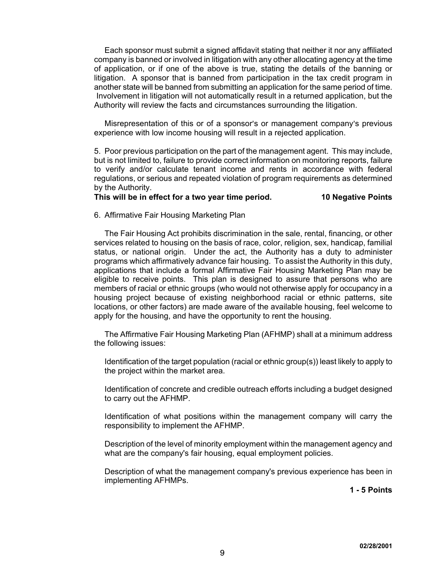Each sponsor must submit a signed affidavit stating that neither it nor any affiliated company is banned or involved in litigation with any other allocating agency at the time of application, or if one of the above is true, stating the details of the banning or litigation. A sponsor that is banned from participation in the tax credit program in another state will be banned from submitting an application for the same period of time. Involvement in litigation will not automatically result in a returned application, but the Authority will review the facts and circumstances surrounding the litigation.

Misrepresentation of this or of a sponsor's or management company's previous experience with low income housing will result in a rejected application.

5. Poor previous participation on the part of the management agent. This may include, but is not limited to, failure to provide correct information on monitoring reports, failure to verify and/or calculate tenant income and rents in accordance with federal regulations, or serious and repeated violation of program requirements as determined by the Authority.

# **This will be in effect for a two year time period. 10 Negative Points**

## 6. Affirmative Fair Housing Marketing Plan

The Fair Housing Act prohibits discrimination in the sale, rental, financing, or other services related to housing on the basis of race, color, religion, sex, handicap, familial status, or national origin. Under the act, the Authority has a duty to administer programs which affirmatively advance fair housing. To assist the Authority in this duty, applications that include a formal Affirmative Fair Housing Marketing Plan may be eligible to receive points. This plan is designed to assure that persons who are members of racial or ethnic groups (who would not otherwise apply for occupancy in a housing project because of existing neighborhood racial or ethnic patterns, site locations, or other factors) are made aware of the available housing, feel welcome to apply for the housing, and have the opportunity to rent the housing.

The Affirmative Fair Housing Marketing Plan (AFHMP) shall at a minimum address the following issues:

Identification of the target population (racial or ethnic group(s)) least likely to apply to the project within the market area.

Identification of concrete and credible outreach efforts including a budget designed to carry out the AFHMP.

Identification of what positions within the management company will carry the responsibility to implement the AFHMP.

Description of the level of minority employment within the management agency and what are the company's fair housing, equal employment policies.

Description of what the management company's previous experience has been in implementing AFHMPs.

**1 - 5 Points**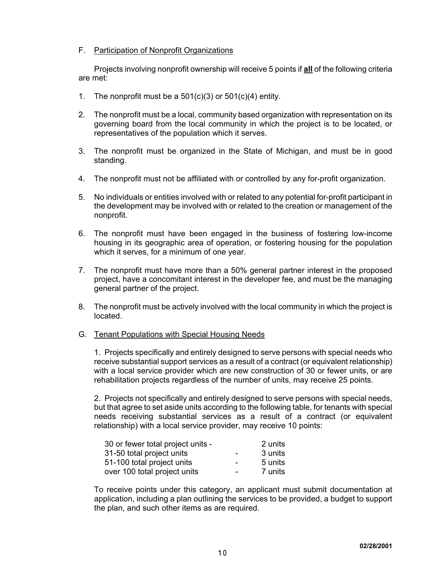# F. Participation of Nonprofit Organizations

Projects involving nonprofit ownership will receive 5 points if **all** of the following criteria are met:

- 1. The nonprofit must be a  $501(c)(3)$  or  $501(c)(4)$  entity.
- 2. The nonprofit must be a local, community based organization with representation on its governing board from the local community in which the project is to be located, or representatives of the population which it serves.
- 3. The nonprofit must be organized in the State of Michigan, and must be in good standing.
- 4. The nonprofit must not be affiliated with or controlled by any for-profit organization.
- 5. No individuals or entities involved with or related to any potential for-profit participant in the development may be involved with or related to the creation or management of the nonprofit.
- 6. The nonprofit must have been engaged in the business of fostering low-income housing in its geographic area of operation, or fostering housing for the population which it serves, for a minimum of one year.
- 7. The nonprofit must have more than a 50% general partner interest in the proposed project, have a concomitant interest in the developer fee, and must be the managing general partner of the project.
- 8. The nonprofit must be actively involved with the local community in which the project is located.
- G. Tenant Populations with Special Housing Needs

1. Projects specifically and entirely designed to serve persons with special needs who receive substantial support services as a result of a contract (or equivalent relationship) with a local service provider which are new construction of 30 or fewer units, or are rehabilitation projects regardless of the number of units, may receive 25 points.

2. Projects not specifically and entirely designed to serve persons with special needs, but that agree to set aside units according to the following table, for tenants with special needs receiving substantial services as a result of a contract (or equivalent relationship) with a local service provider, may receive 10 points:

| 30 or fewer total project units - |                          | 2 units |
|-----------------------------------|--------------------------|---------|
| 31-50 total project units         | $\overline{\phantom{0}}$ | 3 units |
| 51-100 total project units        | $\overline{\phantom{0}}$ | 5 units |
| over 100 total project units      | $\overline{\phantom{0}}$ | 7 units |

To receive points under this category, an applicant must submit documentation at application, including a plan outlining the services to be provided, a budget to support the plan, and such other items as are required.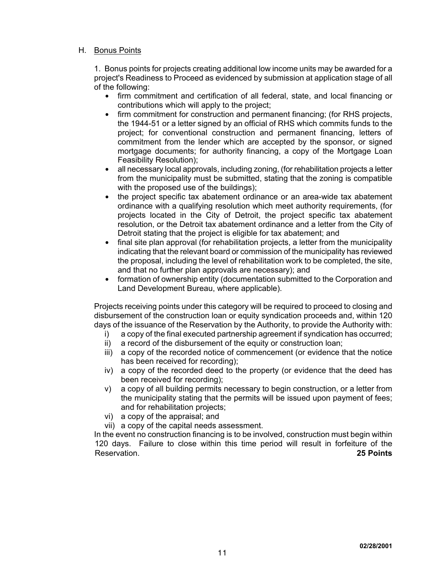# H. Bonus Points

1. Bonus points for projects creating additional low income units may be awarded for a project's Readiness to Proceed as evidenced by submission at application stage of all of the following:

- firm commitment and certification of all federal, state, and local financing or contributions which will apply to the project;
- firm commitment for construction and permanent financing; (for RHS projects, the 1944-51 or a letter signed by an official of RHS which commits funds to the project; for conventional construction and permanent financing, letters of commitment from the lender which are accepted by the sponsor, or signed mortgage documents; for authority financing, a copy of the Mortgage Loan Feasibility Resolution);
- $\bullet$  all necessary local approvals, including zoning, (for rehabilitation projects a letter from the municipality must be submitted, stating that the zoning is compatible with the proposed use of the buildings);
- the project specific tax abatement ordinance or an area-wide tax abatement ordinance with a qualifying resolution which meet authority requirements, (for projects located in the City of Detroit, the project specific tax abatement resolution, or the Detroit tax abatement ordinance and a letter from the City of Detroit stating that the project is eligible for tax abatement; and
- final site plan approval (for rehabilitation projects, a letter from the municipality indicating that the relevant board or commission of the municipality has reviewed the proposal, including the level of rehabilitation work to be completed, the site, and that no further plan approvals are necessary); and
- formation of ownership entity (documentation submitted to the Corporation and Land Development Bureau, where applicable).

Projects receiving points under this category will be required to proceed to closing and disbursement of the construction loan or equity syndication proceeds and, within 120 days of the issuance of the Reservation by the Authority, to provide the Authority with:

- i) a copy of the final executed partnership agreement if syndication has occurred;
- ii) a record of the disbursement of the equity or construction loan;
- iii) a copy of the recorded notice of commencement (or evidence that the notice has been received for recording);
- iv) a copy of the recorded deed to the property (or evidence that the deed has been received for recording);
- v) a copy of all building permits necessary to begin construction, or a letter from the municipality stating that the permits will be issued upon payment of fees; and for rehabilitation projects;
- vi) a copy of the appraisal; and
- vii) a copy of the capital needs assessment.

In the event no construction financing is to be involved, construction must begin within 120 days. Failure to close within this time period will result in forfeiture of the Reservation. **25 Points**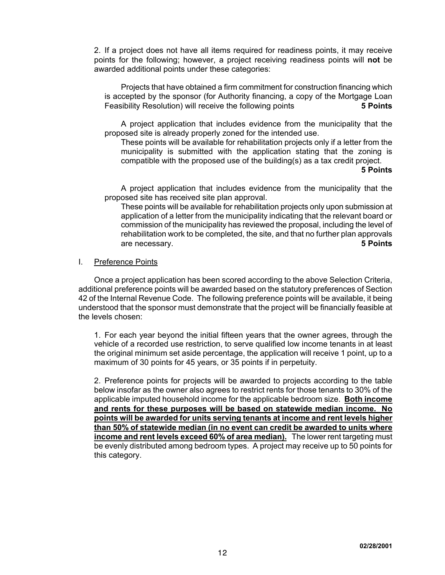2. If a project does not have all items required for readiness points, it may receive points for the following; however, a project receiving readiness points will **not** be awarded additional points under these categories:

Projects that have obtained a firm commitment for construction financing which is accepted by the sponsor (for Authority financing, a copy of the Mortgage Loan Feasibility Resolution) will receive the following points **5 Points**

A project application that includes evidence from the municipality that the proposed site is already properly zoned for the intended use.

These points will be available for rehabilitation projects only if a letter from the municipality is submitted with the application stating that the zoning is compatible with the proposed use of the building(s) as a tax credit project.

#### **5 Points**

A project application that includes evidence from the municipality that the proposed site has received site plan approval.

These points will be available for rehabilitation projects only upon submission at application of a letter from the municipality indicating that the relevant board or commission of the municipality has reviewed the proposal, including the level of rehabilitation work to be completed, the site, and that no further plan approvals are necessary. **5 Points**

#### I. Preference Points

Once a project application has been scored according to the above Selection Criteria, additional preference points will be awarded based on the statutory preferences of Section 42 of the Internal Revenue Code. The following preference points will be available, it being understood that the sponsor must demonstrate that the project will be financially feasible at the levels chosen:

1. For each year beyond the initial fifteen years that the owner agrees, through the vehicle of a recorded use restriction, to serve qualified low income tenants in at least the original minimum set aside percentage, the application will receive 1 point, up to a maximum of 30 points for 45 years, or 35 points if in perpetuity.

2. Preference points for projects will be awarded to projects according to the table below insofar as the owner also agrees to restrict rents for those tenants to 30% of the applicable imputed household income for the applicable bedroom size. **Both income and rents for these purposes will be based on statewide median income. No points will be awarded for units serving tenants at income and rent levels higher than 50% of statewide median (in no event can credit be awarded to units where income and rent levels exceed 60% of area median).** The lower rent targeting must be evenly distributed among bedroom types. A project may receive up to 50 points for this category.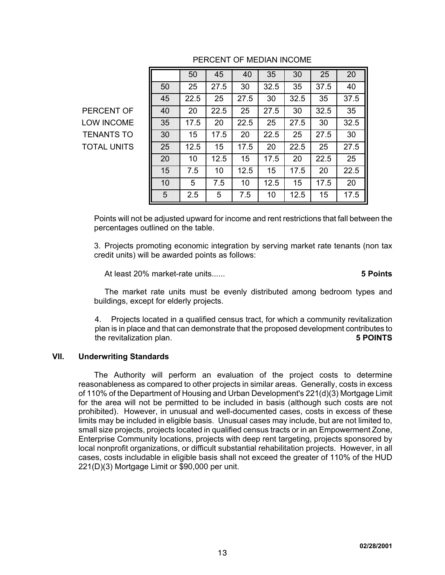|                    |    | 50   | 45   | 40   | 35   | 30   | 25   | 20   |
|--------------------|----|------|------|------|------|------|------|------|
|                    | 50 | 25   | 27.5 | 30   | 32.5 | 35   | 37.5 | 40   |
|                    | 45 | 22.5 | 25   | 27.5 | 30   | 32.5 | 35   | 37.5 |
| PERCENT OF         | 40 | 20   | 22.5 | 25   | 27.5 | 30   | 32.5 | 35   |
| <b>LOW INCOME</b>  | 35 | 17.5 | 20   | 22.5 | 25   | 27.5 | 30   | 32.5 |
| <b>TENANTS TO</b>  | 30 | 15   | 17.5 | 20   | 22.5 | 25   | 27.5 | 30   |
| <b>TOTAL UNITS</b> | 25 | 12.5 | 15   | 17.5 | 20   | 22.5 | 25   | 27.5 |
|                    | 20 | 10   | 12.5 | 15   | 17.5 | 20   | 22.5 | 25   |
|                    | 15 | 7.5  | 10   | 12.5 | 15   | 17.5 | 20   | 22.5 |
|                    | 10 | 5    | 7.5  | 10   | 12.5 | 15   | 17.5 | 20   |
|                    | 5  | 2.5  | 5    | 7.5  | 10   | 12.5 | 15   | 17.5 |

# PERCENT OF MEDIAN INCOME

Points will not be adjusted upward for income and rent restrictions that fall between the percentages outlined on the table.

3. Projects promoting economic integration by serving market rate tenants (non tax credit units) will be awarded points as follows:

At least 20% market-rate units...... **5 Points**

The market rate units must be evenly distributed among bedroom types and buildings, except for elderly projects.

4. Projects located in a qualified census tract, for which a community revitalization plan is in place and that can demonstrate that the proposed development contributes to the revitalization plan. **5 POINTS**

## **VII. Underwriting Standards**

The Authority will perform an evaluation of the project costs to determine reasonableness as compared to other projects in similar areas. Generally, costs in excess of 110% of the Department of Housing and Urban Development's 221(d)(3) Mortgage Limit for the area will not be permitted to be included in basis (although such costs are not prohibited). However, in unusual and well-documented cases, costs in excess of these limits may be included in eligible basis. Unusual cases may include, but are not limited to, small size projects, projects located in qualified census tracts or in an Empowerment Zone, Enterprise Community locations, projects with deep rent targeting, projects sponsored by local nonprofit organizations, or difficult substantial rehabilitation projects. However, in all cases, costs includable in eligible basis shall not exceed the greater of 110% of the HUD 221(D)(3) Mortgage Limit or \$90,000 per unit.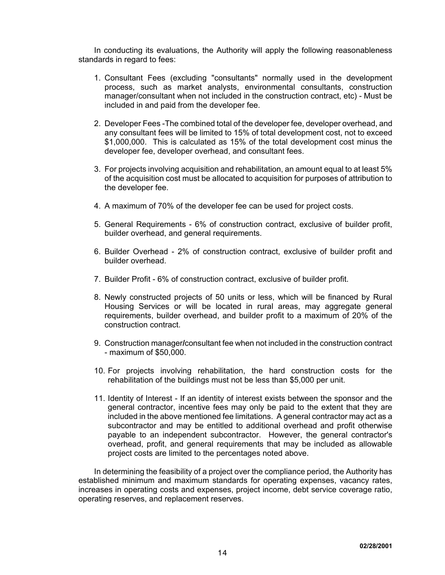In conducting its evaluations, the Authority will apply the following reasonableness standards in regard to fees:

- 1. Consultant Fees (excluding "consultants" normally used in the development process, such as market analysts, environmental consultants, construction manager/consultant when not included in the construction contract, etc) - Must be included in and paid from the developer fee.
- 2. Developer Fees -The combined total of the developer fee, developer overhead, and any consultant fees will be limited to 15% of total development cost, not to exceed \$1,000,000. This is calculated as 15% of the total development cost minus the developer fee, developer overhead, and consultant fees.
- 3. For projects involving acquisition and rehabilitation, an amount equal to at least 5% of the acquisition cost must be allocated to acquisition for purposes of attribution to the developer fee.
- 4. A maximum of 70% of the developer fee can be used for project costs.
- 5. General Requirements 6% of construction contract, exclusive of builder profit, builder overhead, and general requirements.
- 6. Builder Overhead 2% of construction contract, exclusive of builder profit and builder overhead.
- 7. Builder Profit 6% of construction contract, exclusive of builder profit.
- 8. Newly constructed projects of 50 units or less, which will be financed by Rural Housing Services or will be located in rural areas, may aggregate general requirements, builder overhead, and builder profit to a maximum of 20% of the construction contract.
- 9. Construction manager**/**consultant fee when not included in the construction contract - maximum of \$50,000.
- 10. For projects involving rehabilitation, the hard construction costs for the rehabilitation of the buildings must not be less than \$5,000 per unit.
- 11. Identity of Interest If an identity of interest exists between the sponsor and the general contractor, incentive fees may only be paid to the extent that they are included in the above mentioned fee limitations. A general contractor may act as a subcontractor and may be entitled to additional overhead and profit otherwise payable to an independent subcontractor. However, the general contractor's overhead, profit, and general requirements that may be included as allowable project costs are limited to the percentages noted above.

In determining the feasibility of a project over the compliance period, the Authority has established minimum and maximum standards for operating expenses, vacancy rates, increases in operating costs and expenses, project income, debt service coverage ratio, operating reserves, and replacement reserves.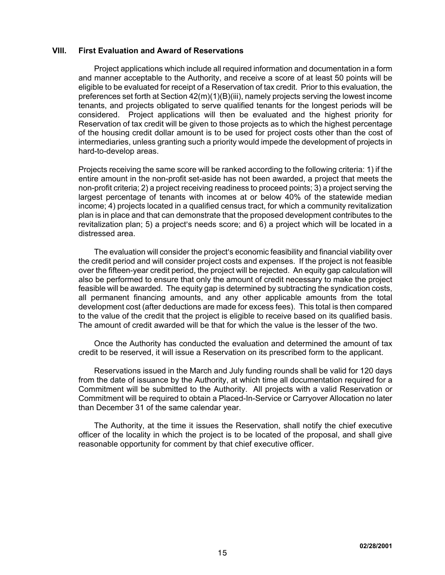## **VIII. First Evaluation and Award of Reservations**

Project applications which include all required information and documentation in a form and manner acceptable to the Authority, and receive a score of at least 50 points will be eligible to be evaluated for receipt of a Reservation of tax credit. Prior to this evaluation, the preferences set forth at Section 42(m)(1)(B)(iii), namely projects serving the lowest income tenants, and projects obligated to serve qualified tenants for the longest periods will be considered. Project applications will then be evaluated and the highest priority for Reservation of tax credit will be given to those projects as to which the highest percentage of the housing credit dollar amount is to be used for project costs other than the cost of intermediaries, unless granting such a priority would impede the development of projects in hard-to-develop areas.

Projects receiving the same score will be ranked according to the following criteria: 1) if the entire amount in the non-profit set-aside has not been awarded, a project that meets the non-profit criteria; 2) a project receiving readiness to proceed points; 3) a project serving the largest percentage of tenants with incomes at or below 40% of the statewide median income; 4) projects located in a qualified census tract, for which a community revitalization plan is in place and that can demonstrate that the proposed development contributes to the revitalization plan; 5) a project's needs score; and  $6$ ) a project which will be located in a distressed area.

The evaluation will consider the project's economic feasibility and financial viability over the credit period and will consider project costs and expenses. If the project is not feasible over the fifteen-year credit period, the project will be rejected. An equity gap calculation will also be performed to ensure that only the amount of credit necessary to make the project feasible will be awarded. The equity gap is determined by subtracting the syndication costs, all permanent financing amounts, and any other applicable amounts from the total development cost (after deductions are made for excess fees). This total is then compared to the value of the credit that the project is eligible to receive based on its qualified basis. The amount of credit awarded will be that for which the value is the lesser of the two.

Once the Authority has conducted the evaluation and determined the amount of tax credit to be reserved, it will issue a Reservation on its prescribed form to the applicant.

Reservations issued in the March and July funding rounds shall be valid for 120 days from the date of issuance by the Authority, at which time all documentation required for a Commitment will be submitted to the Authority. All projects with a valid Reservation or Commitment will be required to obtain a Placed-In-Service or Carryover Allocation no later than December 31 of the same calendar year.

The Authority, at the time it issues the Reservation, shall notify the chief executive officer of the locality in which the project is to be located of the proposal, and shall give reasonable opportunity for comment by that chief executive officer.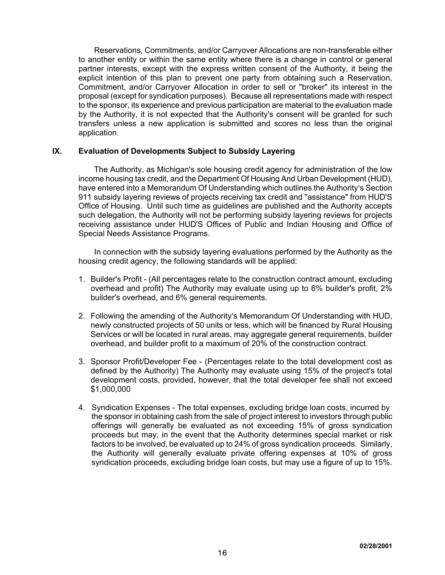Reservations, Commitments, and/or Carryover Allocations are non-transferable either to another entity or within the same entity where there is a change in control or general partner interests, except with the express written consent of the Authority, it being the explicit intention of this plan to prevent one party from obtaining such a Reservation, Commitment, and/or Carryover Allocation in order to sell or "broker" its interest in the proposal (except for syndication purposes). Because all representations made with respect to the sponsor, its experience and previous participation are material to the evaluation made by the Authority, it is not expected that the Authority's consent will be granted for such transfers unless a new application is submitted and scores no less than the original application.

# **IX. Evaluation of Developments Subject to Subsidy Layering**

The Authority, as Michigan's sole housing credit agency for administration of the low income housing tax credit, and the Department Of Housing And Urban Development (HUD), have entered into a Memorandum Of Understanding which outlines the Authority's Section 911 subsidy layering reviews of projects receiving tax credit and "assistance" from HUD'S Office of Housing. Until such time as guidelines are published and the Authority accepts such delegation, the Authority will not be performing subsidy layering reviews for projects receiving assistance under HUD'S Offices of Public and Indian Housing and Office of Special Needs Assistance Programs.

In connection with the subsidy layering evaluations performed by the Authority as the housing credit agency, the following standards will be applied:

- 1. Builder's Profit (All percentages relate to the construction contract amount, excluding overhead and profit) The Authority may evaluate using up to 6% builder's profit, 2% builder's overhead, and 6% general requirements.
- 2. Following the amending of the Authority's Memorandum Of Understanding with HUD, newly constructed projects of 50 units or less, which will be financed by Rural Housing Services or will be located in rural areas, may aggregate general requirements, builder overhead, and builder profit to a maximum of 20% of the construction contract.
- 3. Sponsor Profit/Developer Fee (Percentages relate to the total development cost as defined by the Authority) The Authority may evaluate using 15% of the project's total development costs, provided, however, that the total developer fee shall not exceed \$1,000,000
- 4. Syndication Expenses The total expenses, excluding bridge loan costs, incurred by the sponsor in obtaining cash from the sale of project interest to investors through public offerings will generally be evaluated as not exceeding 15% of gross syndication proceeds but may, in the event that the Authority determines special market or risk factors to be involved, be evaluated up to 24% of gross syndication proceeds. Similarly, the Authority will generally evaluate private offering expenses at 10% of gross syndication proceeds, excluding bridge loan costs, but may use a figure of up to 15%.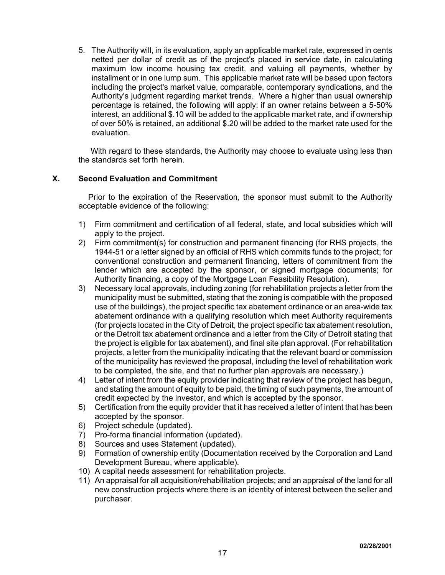5. The Authority will, in its evaluation, apply an applicable market rate, expressed in cents netted per dollar of credit as of the project's placed in service date, in calculating maximum low income housing tax credit, and valuing all payments, whether by installment or in one lump sum. This applicable market rate will be based upon factors including the project's market value, comparable, contemporary syndications, and the Authority's judgment regarding market trends. Where a higher than usual ownership percentage is retained, the following will apply: if an owner retains between a 5-50% interest, an additional \$.10 will be added to the applicable market rate, and if ownership of over 50% is retained, an additional \$.20 will be added to the market rate used for the evaluation.

With regard to these standards, the Authority may choose to evaluate using less than the standards set forth herein.

# **X. Second Evaluation and Commitment**

Prior to the expiration of the Reservation, the sponsor must submit to the Authority acceptable evidence of the following:

- 1) Firm commitment and certification of all federal, state, and local subsidies which will apply to the project.
- 2) Firm commitment(s) for construction and permanent financing (for RHS projects, the 1944-51 or a letter signed by an official of RHS which commits funds to the project; for conventional construction and permanent financing, letters of commitment from the lender which are accepted by the sponsor, or signed mortgage documents; for Authority financing, a copy of the Mortgage Loan Feasibility Resolution).
- 3) Necessary local approvals, including zoning (for rehabilitation projects a letter from the municipality must be submitted, stating that the zoning is compatible with the proposed use of the buildings), the project specific tax abatement ordinance or an area-wide tax abatement ordinance with a qualifying resolution which meet Authority requirements (for projects located in the City of Detroit, the project specific tax abatement resolution, or the Detroit tax abatement ordinance and a letter from the City of Detroit stating that the project is eligible for tax abatement), and final site plan approval. (For rehabilitation projects, a letter from the municipality indicating that the relevant board or commission of the municipality has reviewed the proposal, including the level of rehabilitation work to be completed, the site, and that no further plan approvals are necessary.)
- 4) Letter of intent from the equity provider indicating that review of the project has begun, and stating the amount of equity to be paid, the timing of such payments, the amount of credit expected by the investor, and which is accepted by the sponsor.
- 5) Certification from the equity provider that it has received a letter of intent that has been accepted by the sponsor.
- 6) Project schedule (updated).
- 7) Pro-forma financial information (updated).
- 8) Sources and uses Statement (updated).
- 9) Formation of ownership entity (Documentation received by the Corporation and Land Development Bureau, where applicable).
- 10) A capital needs assessment for rehabilitation projects.
- 11) An appraisal for all acquisition/rehabilitation projects; and an appraisal of the land for all new construction projects where there is an identity of interest between the seller and purchaser.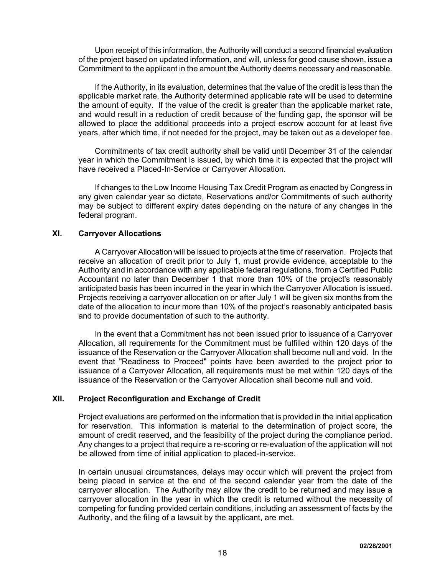Upon receipt of this information, the Authority will conduct a second financial evaluation of the project based on updated information, and will, unless for good cause shown, issue a Commitment to the applicant in the amount the Authority deems necessary and reasonable.

If the Authority, in its evaluation, determines that the value of the credit is less than the applicable market rate, the Authority determined applicable rate will be used to determine the amount of equity. If the value of the credit is greater than the applicable market rate, and would result in a reduction of credit because of the funding gap, the sponsor will be allowed to place the additional proceeds into a project escrow account for at least five years, after which time, if not needed for the project, may be taken out as a developer fee.

Commitments of tax credit authority shall be valid until December 31 of the calendar year in which the Commitment is issued, by which time it is expected that the project will have received a Placed-In-Service or Carryover Allocation.

If changes to the Low Income Housing Tax Credit Program as enacted by Congress in any given calendar year so dictate, Reservations and/or Commitments of such authority may be subject to different expiry dates depending on the nature of any changes in the federal program.

# **XI. Carryover Allocations**

A Carryover Allocation will be issued to projects at the time of reservation. Projects that receive an allocation of credit prior to July 1, must provide evidence, acceptable to the Authority and in accordance with any applicable federal regulations, from a Certified Public Accountant no later than December 1 that more than 10% of the project's reasonably anticipated basis has been incurred in the year in which the Carryover Allocation is issued. Projects receiving a carryover allocation on or after July 1 will be given six months from the date of the allocation to incur more than 10% of the project's reasonably anticipated basis and to provide documentation of such to the authority.

In the event that a Commitment has not been issued prior to issuance of a Carryover Allocation, all requirements for the Commitment must be fulfilled within 120 days of the issuance of the Reservation or the Carryover Allocation shall become null and void. In the event that "Readiness to Proceed" points have been awarded to the project prior to issuance of a Carryover Allocation, all requirements must be met within 120 days of the issuance of the Reservation or the Carryover Allocation shall become null and void.

# **XII. Project Reconfiguration and Exchange of Credit**

Project evaluations are performed on the information that is provided in the initial application for reservation. This information is material to the determination of project score, the amount of credit reserved, and the feasibility of the project during the compliance period. Any changes to a project that require a re-scoring or re-evaluation of the application will not be allowed from time of initial application to placed-in-service.

In certain unusual circumstances, delays may occur which will prevent the project from being placed in service at the end of the second calendar year from the date of the carryover allocation. The Authority may allow the credit to be returned and may issue a carryover allocation in the year in which the credit is returned without the necessity of competing for funding provided certain conditions, including an assessment of facts by the Authority, and the filing of a lawsuit by the applicant, are met.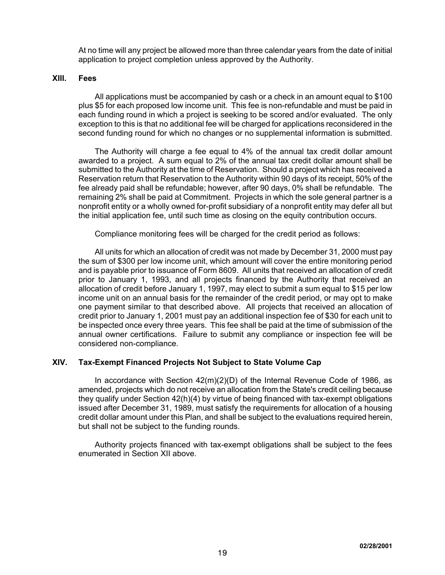At no time will any project be allowed more than three calendar years from the date of initial application to project completion unless approved by the Authority.

#### **XIII. Fees**

All applications must be accompanied by cash or a check in an amount equal to \$100 plus \$5 for each proposed low income unit. This fee is non-refundable and must be paid in each funding round in which a project is seeking to be scored and/or evaluated. The only exception to this is that no additional fee will be charged for applications reconsidered in the second funding round for which no changes or no supplemental information is submitted.

The Authority will charge a fee equal to 4% of the annual tax credit dollar amount awarded to a project. A sum equal to 2% of the annual tax credit dollar amount shall be submitted to the Authority at the time of Reservation. Should a project which has received a Reservation return that Reservation to the Authority within 90 days of its receipt, 50% of the fee already paid shall be refundable; however, after 90 days, 0% shall be refundable. The remaining 2% shall be paid at Commitment. Projects in which the sole general partner is a nonprofit entity or a wholly owned for-profit subsidiary of a nonprofit entity may defer all but the initial application fee, until such time as closing on the equity contribution occurs.

Compliance monitoring fees will be charged for the credit period as follows:

All units for which an allocation of credit was not made by December 31, 2000 must pay the sum of \$300 per low income unit, which amount will cover the entire monitoring period and is payable prior to issuance of Form 8609. All units that received an allocation of credit prior to January 1, 1993, and all projects financed by the Authority that received an allocation of credit before January 1, 1997, may elect to submit a sum equal to \$15 per low income unit on an annual basis for the remainder of the credit period, or may opt to make one payment similar to that described above. All projects that received an allocation of credit prior to January 1, 2001 must pay an additional inspection fee of \$30 for each unit to be inspected once every three years. This fee shall be paid at the time of submission of the annual owner certifications. Failure to submit any compliance or inspection fee will be considered non-compliance.

## **XIV. Tax-Exempt Financed Projects Not Subject to State Volume Cap**

In accordance with Section 42(m)(2)(D) of the Internal Revenue Code of 1986, as amended, projects which do not receive an allocation from the State's credit ceiling because they qualify under Section 42(h)(4) by virtue of being financed with tax-exempt obligations issued after December 31, 1989, must satisfy the requirements for allocation of a housing credit dollar amount under this Plan, and shall be subject to the evaluations required herein, but shall not be subject to the funding rounds.

Authority projects financed with tax-exempt obligations shall be subject to the fees enumerated in Section XII above.